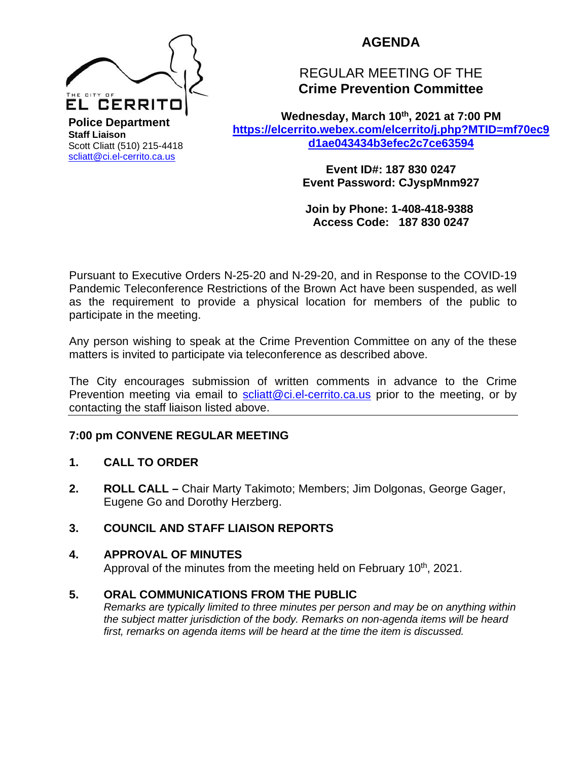

**AGENDA** 

# REGULAR MEETING OF THE **Crime Prevention Committee**

Wednesday, March 10<sup>th</sup>, 2021 at 7:00 PM **[https://elcerrito.webex.com/elcerrito/j.php?MTID=mf70ec9](https://elcerrito.webex.com/elcerrito/j.php?MTID=mf70ec9d1ae043434b3efec2c7ce63594) [d1ae043434b3efec2c7ce63594](https://elcerrito.webex.com/elcerrito/j.php?MTID=mf70ec9d1ae043434b3efec2c7ce63594)**

> **Event ID#: 187 830 0247 Event Password: CJyspMnm927**

**Join by Phone: 1-408-418-9388 Access Code: 187 830 0247**

Pursuant to Executive Orders N-25-20 and N-29-20, and in Response to the COVID-19 Pandemic Teleconference Restrictions of the Brown Act have been suspended, as well as the requirement to provide a physical location for members of the public to participate in the meeting.

Any person wishing to speak at the Crime Prevention Committee on any of the these matters is invited to participate via teleconference as described above.

The City encourages submission of written comments in advance to the Crime Prevention meeting via email to [scliatt@ci.el-cerrito.ca.us](mailto:scliatt@ci.el-cerrito.ca.us) prior to the meeting, or by contacting the staff liaison listed above.

## **7:00 pm CONVENE REGULAR MEETING**

### **1. CALL TO ORDER**

**2. ROLL CALL –** Chair Marty Takimoto; Members; Jim Dolgonas, George Gager, Eugene Go and Dorothy Herzberg.

## **3. COUNCIL AND STAFF LIAISON REPORTS**

### **4. APPROVAL OF MINUTES**

Approval of the minutes from the meeting held on February 10<sup>th</sup>, 2021.

### **5. ORAL COMMUNICATIONS FROM THE PUBLIC**

*Remarks are typically limited to three minutes per person and may be on anything within the subject matter jurisdiction of the body. Remarks on non-agenda items will be heard first, remarks on agenda items will be heard at the time the item is discussed.*